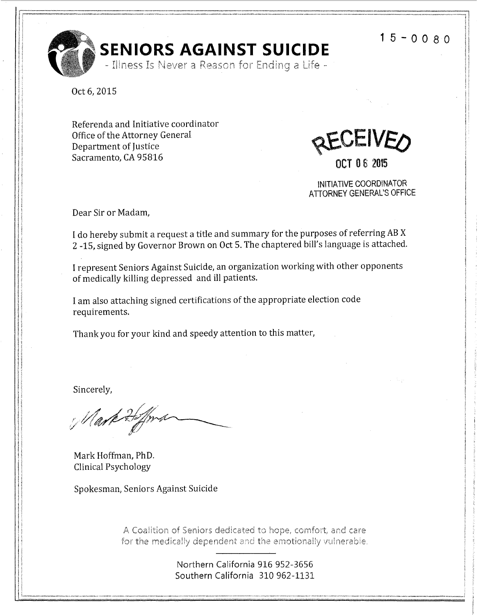**1** 5 - 0 0 8 O



Oct 6, 2015

Referenda and Initiative coordinator Office of the Attorney General **4 CEIVE<sub>O</sub>**  $Sacramento, CA 95816$   $\overline{OCT} 0 6 2015$ 

INITIATIVE COORDINATOR ATTORNEY GENERAL'S OFFICE

Dear Sir or Madam,

I do hereby submit a request a title and summary for the purposes of referring AB X 2 -15, signed by Governor Brown on Oct 5. The chaptered bill's language is attached.

I represent Seniors Against Suicide, an organization working with other opponents of medically killing depressed and ill patients.

I am also attaching signed certifications of the appropriate election code requirements.

Thank you for your kind and speedy attention to this matter,

Sincerely,

Mark 2

Mark Hoffman, PhD. Clinical Psychology

Spokesman, Seniors Against Suicide

A Coalition of Seniors dedicated to hope, comfort, and care for the medically dependent and the emotionally vulnerable.

> Northern California 916 952-3656 Southern California 310 962-1131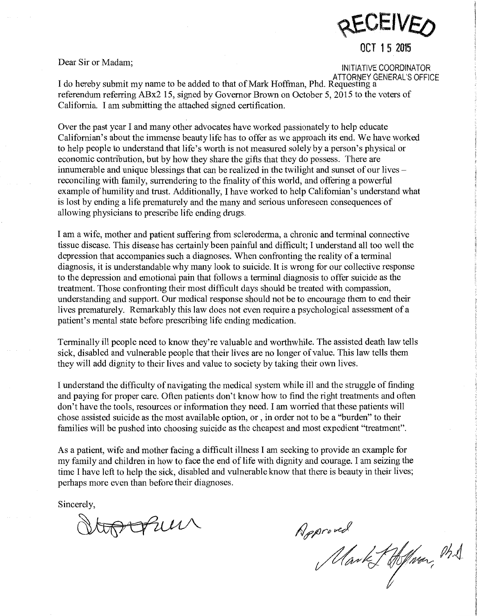

# Dear Sir or Madam; INITIATIVE COORDINATOR

ATTORNEY GENERAL'S OFFICE<br>I do hereby submit my name to be added to that of Mark Hoffman, Phd. Requesting a referendum referring ABx2 15, signed by Governor Brown on October 5, 2015 to the voters of California. I am submitting the attached signed certification.

Over the past year I and many other advocates have worked passionately to help educate Californian's about the immense beauty life has to offer as we approach its end. We have worked to help people to understand that life's worth is not measured solely by a person's physical or economic contribution, but by how they share the gifts that they do possess. There are innumerable and unique blessings that can be realized in the twilight and sunset of our lives  $$ reconciling with family, surrendering to the finality of this world, and offering a powerful example of humility and trust. Additionally, I have worked to help Californian's understand what is lost by ending a life prematurely and the many and serious unforeseen consequences of allowing physicians to prescribe life ending drugs.

I am a wife, mother and patient suffering from scleroderma, a chronic and terminal connective tissue disease. This disease has certainly been painful and difficult; I understand all too well the depression that accompanies such a diagnoses. When confronting the reality of a terminal diagnosis, it is understandable why many look to suicide. It is wrong for our collective response to the depression and emotional pain that follows a terminal diagnosis to offer suicide as the treatment. Those confronting their most difficult days should be treated with compassion, understanding and support. Our medical response should not be to encourage them to end their lives prematurely. Remarkably this law does not even require a psychological assessment of a patient's mental state before prescribing life ending medication.

Terminally ill people need to know they're valuable and worthwhile. The assisted death law tells sick, disabled and vulnerable people that their lives are no longer of value. This law tells them they will add dignity to their lives and value to society by taking their own lives.

I understand the difficulty of navigating the medical system while ill and the struggle of finding and paying for proper care. Often patients don't know how to find the right treatments and often don't have the tools, resources or information they need. I am worried that these patients will chose assisted suicide as the most available option, or , in order not to be a "burden" to their families will be pushed into choosing suicide as the cheapest and most expedient "treatment".

As a patient, wife and mother facing a difficult illness I am seeking to provide an example for my family and children in how to face the end of life with dignity and courage. I am seizing the time I have left to help the sick, disabled and vulnerable know that there is beauty in their lives; perhaps more even than before their diagnoses.

Sincerely,

topopul

Approved<br>Mark Hoffman, M.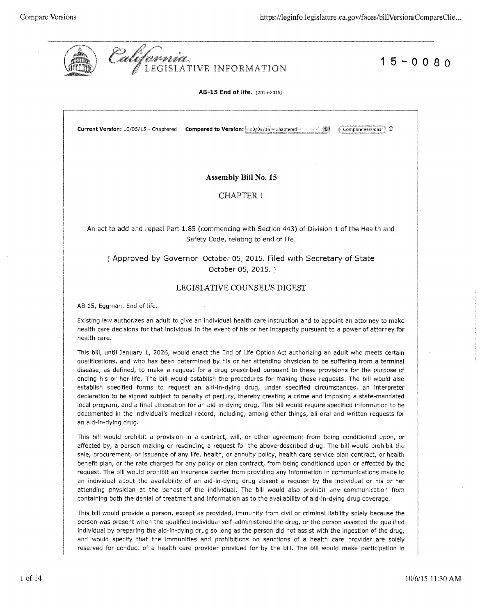

**15-0080** 

**AB-15 End of life.** (201s-2016)

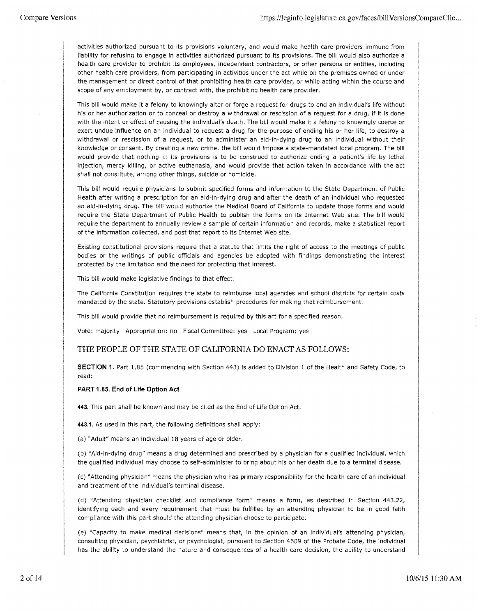activities authorized pursuant to its provisions voluntary, and would make health care providers immune from liability for refusing to engage in activities authorized pursuant to its provisions. The bill would also authorize a health care provider to prohibit its employees, independent contractors, or other persons or entities, including other health care providers, from participating in activities under the act while on the premises owned or under the management or direct control of that prohibiting health care provider, or while acting within the course and scope of any employment by, or contract with, the prohibiting health care provider.

This bill would make it a felony to knowingly alter or forge a request for drugs to end an individual's life without his or her authorization or to conceal or destroy a withdrawal or rescission of a request for a drug, if it is done with the intent or effect of causing the individual's death. The bill would make it a felony to knowingly coerce or exert undue influence on an individual to request a drug for the purpose of ending his or her life, to destroy a withdrawal or rescission of a request, or to administer an aid-in-dying drug to an individual without their knowledge or consent. By creating a new crime, the bill would impose a state-mandated local program. The bill would provide that nothing in its provisions is to be construed to authorize ending a patient's life by lethal injection, mercy killing, or active euthanasia, and would provide that action taken in accordance with the act shall not constitute, among other things, suicide or homicide.

This bill would require physicians to submit specified forms and information to the State Department of Public Health after writing a prescription for an aid-in-dying drug and after the death of an individual who requested an aid-in-dying drug. The bill would authorize the Medical Board of California to update those forms and would require the State Department of Public Health to publish the forms on its Internet Web site. The bill would require the department to annually review a sample of certain information and records, make a statistical report of the information collected, and post that report to its Internet Web site.

Existing constitutional provisions require that a statute that limits the right of access to the meetings of public bodies or the writings of public officials and agencies be adopted with findings demonstrating the interest protected by the limitation and the need for protecting that interest.

This bill would make legislative findings to that effect.

The California Constitution requires the state to reimburse local agencies and school districts for certain costs mandated by the state. Statutory provisions establish procedures for making that reimbursement.

This bill would provide that no reimbursement is required by this act for a specified reason.

Vote: majority Appropriation: no Fiscal Committee: yes Local Program: yes

## THE PEOPLE OF THE STATE OF CALIFORNIA DO ENACT AS FOLLOWS:

**SECTION 1.** Part 1.85 (commencing with Section 443) is added to Division 1 of the Health and Safety Code, to read:

### **PART 1.85. End of Life Option Act**

**443.** This part shall be known and may be cited as the End of Life Option Act.

**443.1.** As used in this part, the following definitions shall apply:

(a) "Adult" means an individual 18 years of age or older.

(b) "Aid-in-dying drug" means a drug determined and prescribed by a physician for a qualified individual, which the qualified individual may choose to self-administer to bring about his or her death due to a terminal disease.

(c) "Attending physician" means the physician who has primary responsibility for the health care of an individual and treatment of the individual's terminal disease.

(d) "Attending physician checklist and compliance form" means a form, as described in Section 443.22, identifying each and every requirement that must be fulfilled by an attending physician to be in good faith compliance with this part should the attending physician choose to participate.

(e) "Capacity to make medical decisions" means that, in the opinion of an individual's attending physician, consulting physician, psychiatrist, or psychologist, pursuant to Section 4609 of the Probate Code, the individual has the ability to understand the nature and consequences of a health care decision, the ability to understand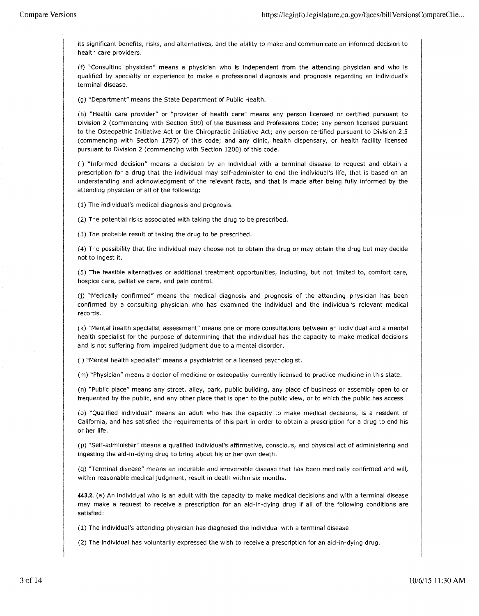its significant benefits, risks, and alternatives, and the ability to make and communicate an informed decision to health care providers.

(f) "Consulting physician" means a physician who is independent from the attending physician and who is qualified by specialty or experience to make a professional diagnosis and prognosis regarding an individual's terminal disease.

(g) "Department" means the State Department of Public Health.

(h) "Health care provider" or "provider of health care" means any person licensed or certified pursuant to Division 2 (commencing with Section 500) of the Business and Professions Code; any person licensed pursuant to the Osteopathic Initiative Act or the Chiropractic Initiative Act; any person certified pursuant to Division 2.5 (commencing with Section 1797) of this code; and any clinic, health dispensary, or health facility licensed pursuant to Division 2 (commencing with Section 1200) of this code.

(i) "Informed decision" means a decision by an individual with a terminal disease to request and obtain a prescription for a drug that the individual may self-administer to end the individual's life, that is based on an understanding and acknowledgment of the relevant facts, and that is made after being fully informed by the attending physician of all of the following:

(1) The individual's medical diagnosis and prognosis.

(2) The potential risks associated with taking the drug to be prescribed.

(3) The probable result of taking the drug to be prescribed.

(4) The possibility that the individual may choose not to obtain the drug or may obtain the drug but may decide not to ingest it.

(5) The feasible alternatives or additional treatment opportunities, including, but not limited to, comfort care, hospice care, palliative care, and pain control.

(j) "Medically confirmed" means the medical diagnosis and prognosis of the attending physician has been confirmed by a consulting physician who has examined the individual and the individual's relevant medical records.

(k) "Mental health specialist assessment" means one or more consultations between an individual and a mental health specialist for the purpose of determining that the individual has the capacity to make medical decisions and is not suffering from impaired judgment due to a mental disorder.

(I) "Mental health specialist" means a psychiatrist or a licensed psychologist.

(m) "Physician" means a doctor of medicine or osteopathy currently licensed to practice medicine in this state.

(n) "Public place" means any street, alley, park, public building, any place of business or assembly open to or frequented by the public, and any other place that is open to the public view, or to which the public has access.

(o) "Qualified individual" means an adult who has the capacity to make medical decisions, is a resident of California, and has satisfied the requirements of this part in order to obtain a prescription for a drug to end his or her life.

(p) "Self-administer" means a qualified individual's affirmative, conscious, and physical act of administering and ingesting the aid-in-dying drug to bring about his or her own death.

(q) "Terminal disease" means an incurable and irreversible disease that has been medically confirmed and will, within reasonable medical judgment, result in death within six months.

**443.2.** (a) An individual who is an adult with the capacity to make medical decisions and with a terminal disease may make a request to receive a prescription for an aid-in-dying drug if all of the following conditions are satisfied:

(1) The individual's attending physician has diagnosed the individual with a terminal disease.

(2) The individual has voluntarily expressed the wish to receive a prescription for an aid-in-dying drug.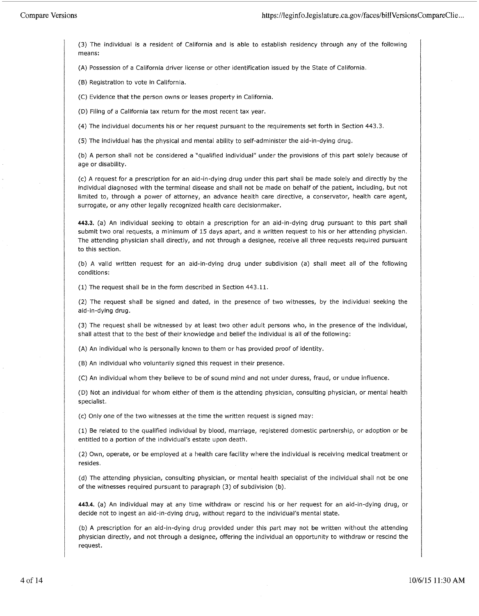(3) The individual is a resident of California and is able to establish residency through any of the following means:

(A) Possession of a California driver license or other identification issued by the State of California.

(B) Registration to vote in California.

(C) Evidence that the person owns or leases property in California.

(D) Filing of a California tax return for the most recent tax year.

(4) The individual documents his or her request pursuant to the requirements set forth in Section 443.3.

(5) The individual has the physical and mental ability to self-administer the aid-in-dying drug.

(b) A person shall not be considered a "qualified individual" under the provisions of this part solely because of age or disability.

(c) A request for a prescription for an aid-in-dying drug under this part shall be made solely and directly by the individual diagnosed with the terminal disease and shall not be made on behalf of the patient, including, but not limited to, through a power of attorney, an advance health care directive, a conservator, health care agent, surrogate, or any other legally recognized health care decisionmaker.

**443.3.** (a) An individual seeking to obtain a prescription for an aid-in-dying drug pursuant to this part shall submit two oral requests, a minimum of 15 days apart, and a written request to his or her attending physician. The attending physician shall directly, and not through a designee, receive all three requests required pursuant to this section.

(b) A valid written request for an aid-in-dying drug under subdivision (a) shall meet all of the following conditions:

(1) The request shall be in the form described in Section 443.11.

(2) The request shall be signed and dated, in the presence of two witnesses, by the individual seeking the aid-in-dying drug.

(3) The request shall be witnessed by at least two other adult persons who, in the presence of the individual, shall attest that to the best of their knowledge and belief the individual is all of the following:

(A) An individual who is personally known to them or has provided proof of identity.

(B) An individual who voluntarily signed this request in their presence.

(C) An individual whom they believe to be of sound mind and not under duress, fraud, or undue influence.

(D) Not an individual for whom either of them is the attending physician, consulting physician, or mental health specialist.

(c) Only one of the two witnesses at the time the written request is signed may:

(1) Be related to the qualified individual by blood, marriage, registered domestic partnership, or adoption or be entitled to a portion of the individual's estate upon death.

(2) Own, operate, or be employed at a health care facility where the individual is receiving medical treatment or resides.

(d) The attending physician, consulting physician, or mental health specialist of the individual shall not be one of the witnesses required pursuant to paragraph (3) of subdivision (b).

**443.4.** (a) An individual may at any time withdraw or rescind his or her request for an aid-in-dying drug, or decide not to ingest an aid-in-dying drug, without regard to the individual's mental state.

(b) A prescription for an aid-in-dying drug provided under this part may not be written without the attending physician directly, and not through a designee, offering the individual an opportunity to withdraw or rescind the request.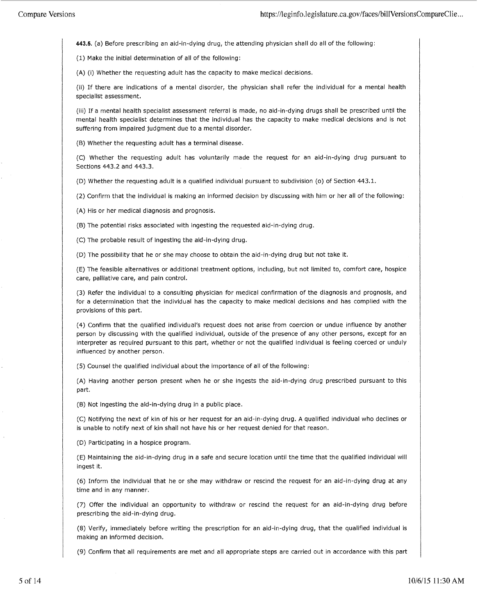**443.5.** (a) Before prescribing an aid-in-dying drug, the attending physician shall do all of the following:

(1) Make the initial determination of all of the following:

(A) (i) Whether the requesting adult has the capacity to make medical decisions.

(ii) If there are indications of a mental disorder, the physician shall refer the individual for a mental health specialist assessment.

(iii) If a mental health specialist assessment referral is made, no aid-in-dying drugs shall be prescribed until the mental health specialist determines that the individual has the capacity to make medical decisions and is not suffering from impaired judgment due to a mental disorder.

(B) Whether the requesting adult has a terminal disease.

(C) Whether the requesting adult has voluntarily made the request for an aid-in-dying drug pursuant to Sections 443.2 and 443.3.

(D) Whether the requesting adult is a qualified individual pursuant to subdivision (o) of Section 443.1.

(2) Confirm that the individual is making an informed decision by discussing with him or her all of the following:

(A) His or her medical diagnosis and prognosis.

(B) The potential risks associated with ingesting the requested aid-in-dying drug.

(C) The probable result of ingesting the aid-in-dying drug.

(D) The possibility that he or she may choose to obtain the aid-in-dying drug but not take it.

(E) The feasible alternatives or additional treatment options, including, but not limited to, comfort care, hospice care, palliative care, and pain control.

(3) Refer the individual to a consulting physician for medical confirmation of the diagnosis .and prognosis, and for a determination that the individual has the capacity to make medical decisions and has complied with the provisions of this part.

(4) Confirm that the qualified individual's request does not arise from coercion or undue influence by another person by discussing with the qualified individual, outside of the presence of any other persons, except for an interpreter as required pursuant to this part, whether or not the qualified individual is feeling coerced or unduly influenced by another person.

(5) Counsel the qualified individual about the importance of all of the following:

(A) Having another person present when he or she ingests the aid-in-dying drug prescribed pursuant to this part.

(B) Not ingesting the aid-in-dying drug in a public place.

(C) Notifying the next of kin of his or her request for an aid-in-dying drug. A qualified individual who declines or is unable to notify next of kin shall not have his or her request denied for that reason.

(D) Participating in a hospice program.

(E) Maintaining the aid-in-dying drug in a safe and secure location until the time that the qualified individual will ingest it.

(6) Inform the individual that he or she may withdraw or rescind the request for an aid-in-dying drug at any time and in any manner.

(7) Offer the individual an opportunity to withdraw or rescind the request for an aid-in-dying drug before prescribing the aid-in-dying drug.

(8) Verify, immediately before writing the prescription for an aid-in-dying drug, that the qualified individual is making an informed decision.

(9) Confirm that all requirements are met and all appropriate steps are carried out in accordance with this part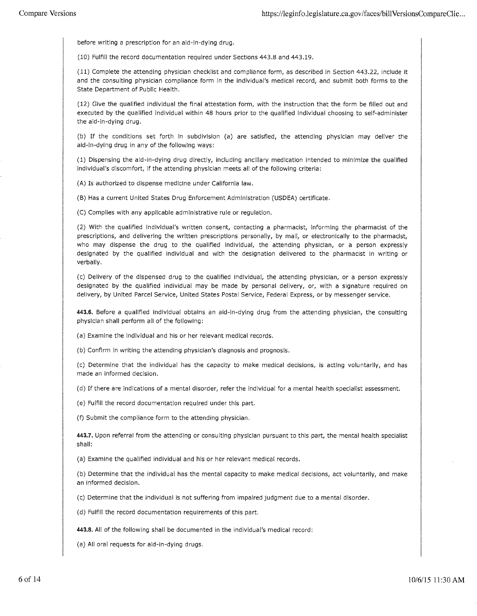before writing a prescription for an aid-in-dying drug.

(10) Fulfill the record documentation required under Sections 443.8 and 443.19.

(11) Complete the attending physician checklist and compliance form, as described in Section 443.22, include it and the consulting physician compliance form in the individual's medical record, and submit both forms to the State Department of Public Health.

(12) Give the qualified individual the final attestation form, with the instruction that the form be filled out and executed by the qualified individual within 48 hours prior to the qualified individual choosing to self-administer the aid-in-dying drug.

(b) If the conditions set forth in subdivision (a) are satisfied, the attending physician may deliver the aid-in-dying drug in any of the following ways:

(1) Dispensing the aid-in-dying drug directly, including ancillary medication intended to minimize the qualified individual's discomfort, if the attending physician meets all of the following criteria:

(A) Is authorized to dispense medicine under California law.

(B) Has a current United States Drug Enforcement Administration (USDEA) certificate.

(C) Complies with any applicable administrative rule or regulation.

(2) With the qualified individual's written consent, contacting a pharmacist, informing the pharmacist of the prescriptions, and delivering the written prescriptions personally, by mail, or electronically to the pharmacist, who may dispense the drug to the qualified individual, the attending physician, or a person expressly designated by the qualified individual and with the designation delivered to the pharmacist in writing or verbally.

(c) Delivery of the dispensed drug to the qualified individual, the attending physician, or a person expressly designated by the qualified individual may be made by personal delivery, or, with a signature required on delivery, by United Parcel Service, United States Postal Service, Federal Express, or by messenger service.

**443.6.** Before a qualified individual obtains an aid-in-dying drug from the attending physician, the consulting physician shall perform all of the following:

(a) Examine the individual and his or her relevant medical records.

(b) Confirm in writing the attending physician's diagnosis and prognosis.

(c) Determine that the individual has the capacity to make medical decisions, is acting voluntarily, and has made an informed decision.

(d) If there are indications of a mental disorder, refer the individual for a mental health specialist assessment.

(e) Fulfill the record documentation required under this part.

(f) Submit the compliance form to the attending physician.

**443.7.** Upon referral from the attending or consulting physician pursuant to this part, the mental health specialist shall:

(a) Examine the qualified individual and his or her relevant medical records.

(b) Determine that the individual has the mental capacity to make medical decisions, act voluntarily, and make an informed decision.

(c) Determine that the individual is not suffering from impaired judgment due to a mental disorder.

(d) Fulfill the record documentation requirements of this part.

**443.8.** All of the following shall be documented in the individual's medical record:

(a) All oral requests for aid-in-dying drugs.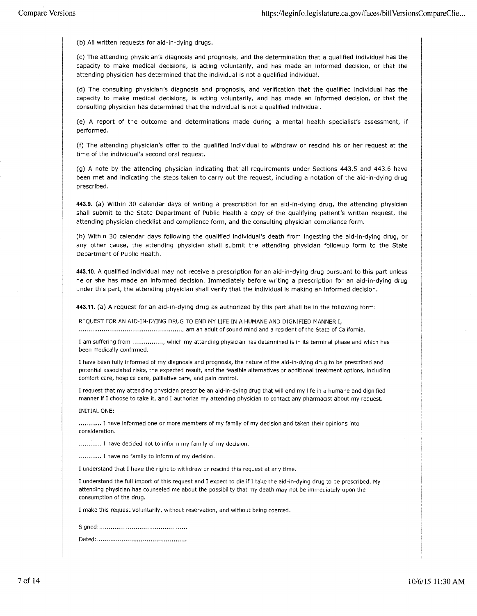(b) All written requests for aid-in-dying drugs.

(c) The attending physician's diagnosis and prognosis, and the determination that a qualified individual has the capacity to make medical decisions, is acting voluntarily, and has made an informed decision, or that the attending physician has determined that the individual is not a qualified individual.

(d) The consulting physician's diagnosis and prognosis, and verification that the qualified individual has the capacity to make medical decisions, is acting voluntarily, and has made an informed decision, or that the consulting physician has determined that the individual is not a qualified individual.

(e) A report of the outcome and determinations made during a mental health specialist's assessment, if performed.

(f) The attending physician's offer to the qualified individual to withdraw or rescind his or her request at the time of the individual's second oral request.

(g) A note by the attending physician indicating that all requirements under Sections 443.5 and 443.6 have been met and indicating the steps taken to carry out the request, including a notation of the aid-in-dying drug prescribed.

**443.9.** (a) Within 30 calendar days of writing a prescription for an aid-in-dying drug, the attending physician shall submit to the State Department of Public Health a copy of the qualifying patient's written request, the attending physician checklist and compliance form, and the consulting physician compliance form.

(b) Within 30 calendar days following the qualified individual's death from ingesting the aid-in-dying drug, or any other cause, the attending physician shall submit the attending physician followup form to the State Department of Public Health.

**443.10.** A qualified individual may not receive a prescription for an aid-in-dying drug pursuant to this part unless he or she has made an informed decision. Immediately before writing a prescription for an aid-in-dying drug under this part, the attending physician shall verify that the individual is making an informed decision.

**443.11.** (a) A request for an aid-in-dying drug as authorized by this part shall be in the following form:

REQUEST FOR AN AID-IN-DYING DRUG TO END MY LIFE IN A HUMANE AND DIGNIFIED MANNER I,

...................................................... , am an adult of sound mind and a resident of the State of California.

I am suffering from ................ , which my attending physician has determined is in its terminal phase and which has been medically confirmed.

I have been fully informed of my diagnosis and prognosis, the nature of the aid-in-dying drug to be prescribed and potential associated risks, the expected result, and the feasible alternatives or additional treatment options, including comfort care, hospice care, palliative care, and pain control.

I request that my attending physician prescribe an aid-in-dying drug that will end my life in a humane and dignified manner if I choose to take it, and I authorize my attending physician to contact any pharmacist about my request.

#### INITIAL ONE:

............ I have informed one or more members of my family of my decision and taken their opinions into consideration .

............. I have decided not to inform my family of my decision.

........... I have no family to inform of my decision.

I understand that I have the right to withdraw or rescind this request at any time.

I understand the full import of this request and I expect to die if I take the aid-in-dying drug to be prescribed. My attending physician has counseled me about the possibility that my death may not be immediately upon the consumption of the drug.

I make this request voluntarily, without reservation, and without being coerced.

Signed: ............................................. . Dated: .............................................. .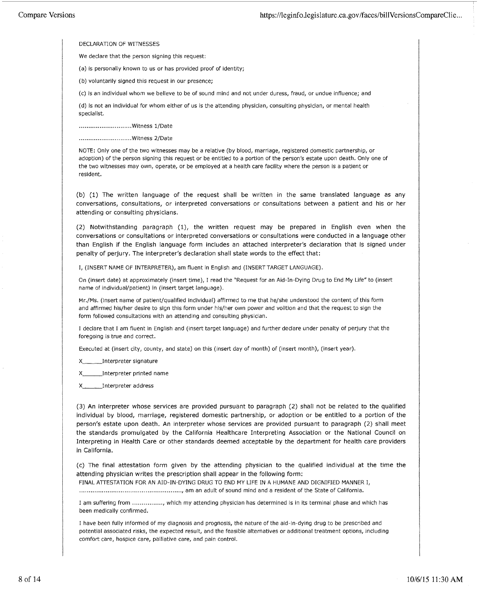DECLARATION OF WITNESSES

We declare that the person signing this request:

(a) is personally known to us or has provided proof of identity;

(b) voluntarily signed this request in our presence;

{c) is an individual whom we believe to be of sound mind and not under duress, fraud, or undue influence; and

(d) is not an individual for whom either of us is the attending physician, consulting physician, or mental health specialist.

............................ Witness 1/Date

............................ Witness 2/Date

NOTE: Only one of the two witnesses may be a relative (by blood, marriage, registered domestic partnership, or adoption) of the person signing this request or be entitled to a portion of the person's estate upon death. Only one of the two witnesses may own, operate, or be employed at a health care facility where the person is a patient or resident.

(b) (1) The written language of the request shall be written in the same translated language as any conversations, consultations, or interpreted conversations or consultations between a patient and his or her attending or consulting physicians.

(2) Notwithstanding paragraph (1), the written request may be prepared in English even when the conversations or consultations or interpreted conversations or consultations were conducted in a language other than English if the English language form includes an attached interpreter's declaration that is signed under penalty of perjury. The interpreter's declaration shall state words to the effect that:

I, (INSERT NAME OF INTERPRETER), am fluent in English and {INSERT TARGET LANGUAGE).

On (insert date) at approximately (insert time), I read the "Request for an Aid-In-Dying Drug to End My Life" to (insert name of individual/patient) in (insert target language).

Mr,/Ms. (insert name of patient/qualified individual) affirmed to me that he/she understood the content of this form and affirmed his/her desire to sign this form under his/her own power and volition and that the request to sign the form followed consultations with an attending and consulting physician.

I declare that I am fluent in English and (insert target language) and further declare under penalty of perjury that the foregoing is true and correct.

Executed at (insert city, county, and state) on this (insert day of month) of (insert month), (insert year).

X \_\_\_ Interpreter signature

X\_\_\_\_\_\_\_\_Interpreter printed name

X \_\_\_ Interpreter address

(3) An interpreter whose services are provided pursuant to paragraph (2) shall not be related to the qualified individual by blood, marriage, registered domestic partnership, or adoption or be entitled to a portion of the person's estate upon death. An interpreter whose services are provided pursuant to paragraph (2) shall meet the standards promulgated by the California Healthcare Interpreting Association or the National Council on Interpreting in Health Care or other standards deemed acceptable by the department for health care providers in California.

(c) The final attestation form given by the attending physician to the qualified individual at the time the attending physician writes the prescription shall appear in the following form:

FINAL ATIESTATION FOR AN AID-IN-DYING DRUG TO END MY LIFE IN A HUMANE AND DIGNIFIED MANNER I,

...................................................... , am an adult of sound mind and a resident of the State of California.

I am suffering from ................ , which my attending physician has determined is in its terminal phase and which has been medically confirmed.

I have been fully informed of my diagnosis and prognosis, the nature of the aid-in-dying drug to be prescribed and potential associated risks, the expected result, and the feasible alternatives or additional treatment options, including comfort care, hospice care, palliative care, and pain control.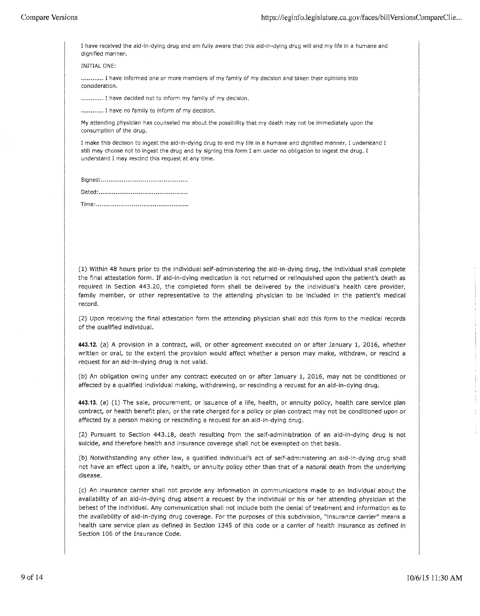I have received the aid-in-dying drug and am fully aware that this aid-in-dying drug will end my life in a humane and dignified manner.

INITIAL ONE:

............ I have informed one or more members of my family of my decision and taken their opinions into consideration .

............ I have decided not to inform my family of my decision.

............ I have no family to inform of my decision.

My attending physician has counseled me about the possibility that my death may not be immediately upon the consumption of the drug.

I make this decision to ingest the aid-in-dying drug to end my life in a humane and dignified manner. I understand I still may choose not to ingest the drug and by signing this form I am under no obligation to ingest the drug. I understand I may rescind this request at any time.

Time: ................................................ .

(1) Within 48 hours prior to the individual self-administering the aid-in-dying drug, the individual shall complete the final attestation form. If aid-in-dying medication is not returned or relinquished upon the patient's death as required in Section 443.20, the completed form shall be delivered by the individual's health care provider, family member, or other representative to the attending physician to be included in the patient's medical record.

(2) Upon receiving the final attestation form the attending physician shall add this form to the medical records of the qualified individual.

**443.12.** (a) A provision in a contract, will, or other agreement executed on or after January 1, 2016, whether written or oral, to the extent the provision would affect whether a person may make, withdraw, or rescind a request for an aid-in-dying drug is not valid.

(b) An obligation owing under any contract executed on or after January 1, 2016, may not be conditioned or affected by a qualified individual making, withdrawing, or rescinding a request for an aid-in-dying drug.

**443.13.** (a) (1) The sale, procurement, or issuance of a life, health, or annuity policy, health care service plan contract, or health benefit plan, or the rate charged for a policy or plan contract may not be conditioned upon or affected by a person making or rescinding a request for an aid-in-dying drug.

(2) Pursuant to Section 443.18, death resulting from the self-administration of an aid-in-dying drug is not suicide, and therefore health and insurance coverage shall not be exempted on that basis.

(b) Notwithstanding any other law, a qualified individual's act of self-administering an aid-in-dying drug shall not have an effect upon a life, health, or annuity policy other than that of a natural death from the underlying disease.

(c) An insurance carrier shall not provide any information in communications made to an individual about the availability of an aid-in-dying drug absent a request by the individual or his or her attending physician at the behest of the individual. Any communication shall not include both the denial of treatment and information as to the availability of aid-in-dying drug coverage. For the purposes of this subdivision, "insurance carrier" means a health care service plan as defined in Section 1345 of this code or a carrier of health insurance as defined in Section 106 of the Insurance Code.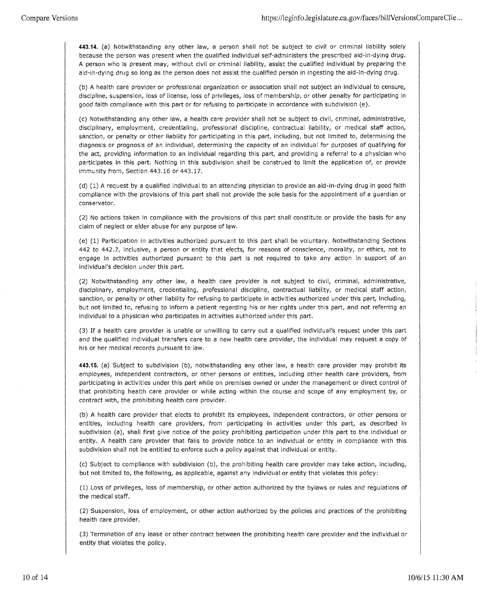**443.14.** (a) Notwithstanding any other law, a person shall not be subject to civil or criminal liability solely because the person was present when the qualified individual self-administers the prescribed aid-in-dying drug. A person who is present may, without civil or criminal liability, assist the qualified individual by preparing the aid-in-dying drug so long as the person does not assist the qualified person in ingesting the aid-in-dying drug.

(b) A health care provider or professional organization or association shall not subject an individual to censure, discipline, suspension, loss of license, loss of privileges, loss of membership, or other penalty for participating in good faith compliance with this part or for refusing to participate in accordance with subdivision (e).

(c) Notwithstanding any other law, a health care provider shall not be subject to civil, criminal, administrative, disciplinary, employment, credentialing, professional discipline, contractual liability, or medical staff action, sanction, or penalty or other liability for participating in this part, including, but not limited to, determining the diagnosis or prognosis of an individual, determining the capacity of an individual for purposes of qualifying for the act, providing information to an individual regarding this part, and providing a referral to a physician who participates in this part. Nothing in this subdivision shall be construed to limit the application of, or provide immunity from, Section 443.16 or 443.17.

(d) (1) A request by a qualified individual to an attending physician to provide an aid-in-dying drug in good faith compliance with the provisions of this part shall not provide the sole basis for the appointment of a guardian or conservator.

(2) No actions taken in compliance with the provisions of this part shall constitute or provide the basis for any claim of neglect or elder abuse for any purpose of law.

(e) (1) Participation in activities authorized pursuant to this part shall be voluntary. Notwithstanding Sections 442 to 442. 7, inclusive, a person or entity that elects, for reasons of conscience, morality, or ethics, not to engage in activities authorized pursuant to this part is not required to take any action in support of an individual's decision under this part.

(2) Notwithstanding any other law, a health care provider is not subject to civil, criminal, administrative, disciplinary, employment, credentialing, professional discipline, contractual liability, or medical staff action, sanction, or penalty or other liability for refusing to participate in activities authorized under this part, including, but not limited to, refusing to inform a patient regarding his or her rights under this part, and not referring an individual to a physician who participates in activities authorized under this part.

(3) If a health care provider is unable or unwilling to carry out a qualified individual's request under this part and the qualified individual transfers care to a new health care provider, the individual may request a copy of his or her medical records pursuant to law.

**443.15.** (a) Subject to subdivision (b), notwithstanding any other law, a health care provider may prohibit its employees, independent contractors, or other persons or entities, including other health care providers, from participating in activities under this part while on premises owned or under the management or direct control of that prohibiting health care provider or while acting within the course and scope of any employment by, or contract with, the prohibiting health care provider.

(b) A health care provider that elects to prohibit its employees, independent contractors, or other persons or entities, including health care providers, from participating in activities under this part, as described in subdivision (a), shall first give notice of the policy prohibiting participation under this part to the individual or entity. A health care provider that fails to provide notice to an individual or entity in compliance with this subdivision shall not be entitled to enforce such a policy against that individual or entity.

(c) Subject to compliance with subdivision (b), the prohibiting health care provider may take action, including, but not limited to, the following, as applicable, against any individual or entity that violates this policy:

(1) Loss of privileges, loss of membership, or other action authorized by the bylaws or rules and regulations of the medical staff.

(2) Suspension, loss of employment, or other action authorized by the policies and practices of the prohibiting health care provider.

(3) Termination of any lease or other contract between the prohibiting health care provider and the individual or entity that violates the policy.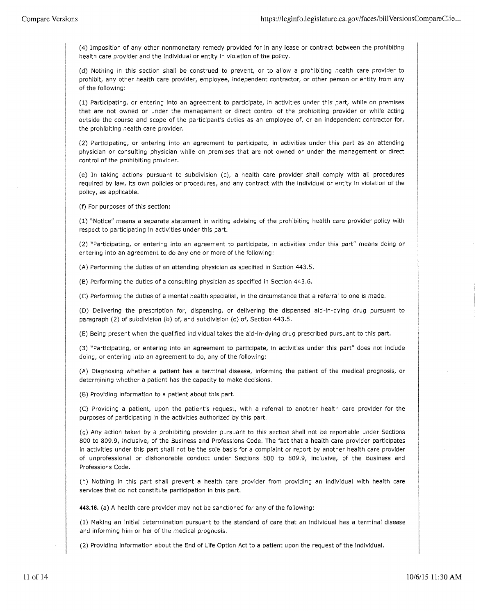( 4) Imposition of any other nonmonetary remedy provided for in any lease or contract between the prohibiting health care provider and the individual or entity in violation of the policy.

(d) Nothing in this section shall be construed to prevent, or to allow a prohibiting health care provider to prohibit, any other health care provider, employee, independent contractor, or other person or entity from any of the following:

(1) Participating, or entering into an agreement to participate, in activities under this part, while on premises that are not owned or under the management or direct control of the prohibiting provider or while acting outside the course and scope of the participant's duties as an employee of, or an independent contractor for, the prohibiting health care provider.

(2) Participating, or entering into an agreement to participate, in activities under this part as an attending physician or consulting physician while on premises that are not owned or under the management or direct control of the prohibiting provider.

(e) In taking actions pursuant to subdivision (c), a health care provider shall comply with all procedures required by law, its own policies or procedures, and any contract with the individual or entity in violation of the policy, as applicable.

(f) For purposes of this section:

(1) "Notice" means a separate statement in writing advising of the prohibiting health care provider policy with respect to participating in activities under this part.

(2) "Participating, or entering into an agreement to participate, in activities under this part" means doing or entering into an agreement to do any one or more of the following:

(A) Performing the duties of an attending physician as specified in Section 443 .5.

(B) Performing the duties of a consulting physician as specified in Section 443.6.

(C) Performing the duties of a mental health specialist, in the circumstance that a referral to one is made.

(D) Delivering the prescription for, dispensing, or delivering the dispensed aid-in-dying drug pursuant to paragraph (2) of subdivision (b) of, and subdivision (c) of, Section 443.5.

(E) Being present when the qualified individual takes the aid-in-dying drug prescribed pursuant to this part.

(3) "Participating, or entering into an agreement to participate, in activities under this part" does not include doing, or entering into an agreement to do, any of the following:

(A) Diagnosing whether a patient has a terminal disease, informing the patient of the medical prognosis, or determining whether a patient has the capacity to make decisions.

(B) Providing information to a patient about this part.

(C) Providing a patient, upon the patient's request, with a referral to another health care provider for the purposes of participating in the activities authorized by this part.

(g) Any action taken by a prohibiting provider pursuant to this section shall not be reportable under Sections 800 to 809.9, inclusive, of the Business and Professions Code. The fact that a health care provider participates in activities under this part shall not be the sole basis for a complaint or report by another health care provider of unprofessional or dishonorable conduct under Sections 800 to 809.9, inclusive, of the Business and Professions Code.

(h) Nothing in this part shall prevent a health care provider from providing an individual with health care services that do not constitute participation in this part.

**443.16.** (a) A health care provider may not be sanctioned for any of the following:

(1) Making an initial determination pursuant to the standard of care that an individual has a terminal disease and informing him or her of the medical prognosis.

(2) Providing information about the End of Life Option Act to a patient upon the request of the individual.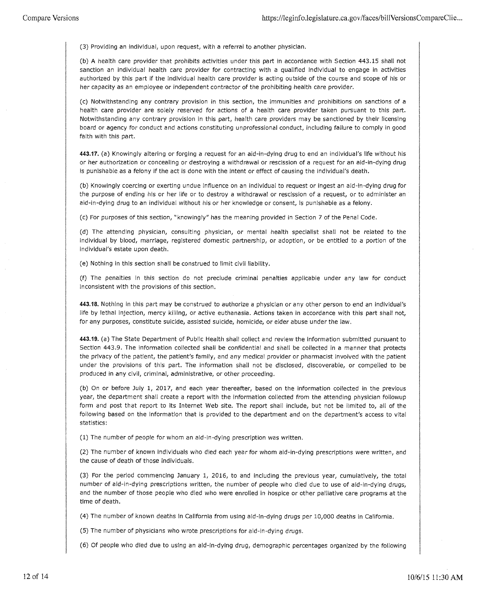(3) Providing an individual, upon request, with a referral to another physician.

(b) A health care provider that prohibits activities under this part in accordance with Section 443.15 shall not sanction an individual health care provider for contracting with a qualified individual to engage in activities authorized by this part if the individual health care provider is acting outside of the course and scope of his or her capacity as an employee or independent contractor of the prohibiting health care provider.

(c) Notwithstanding any contrary provision in this section, the immunities and prohibitions on sanctions of a health care provider are solely reserved for actions of a health care provider taken pursuant to this part. Notwithstanding any contrary provision in this part, health care providers may be sanctioned by their licensing board or agency for conduct and actions constituting unprofessional conduct, including failure to comply in good faith with this part.

**443.17.** (a) Knowingly altering or forging a request for an aid-in-dying drug to end an individual's life without his or her authorization or concealing or destroying a withdrawal or rescission of a request for an aid-in-dying drug is punishable as a felony if the act is done with the intent or effect of causing the individual's death.

(b) Knowingly coercing or exerting undue influence on an individual to request or ingest an aid-in-dying drug for the purpose of ending his or her life or to destroy a withdrawal or rescission of a request, or to administer an aid-in-dying drug to an individual without his or her knowledge or consent, is punishable as a felony.

(c) For purposes of this section, "knowingly" has the meaning provided in Section 7 of the Penal Code.

(d) The attending physician, consulting physician, or mental health specialist shall not be related to the individual by blood, marriage, registered domestic partnership, or adoption, or be entitled to a portion of the individual's estate upon death.

(e) Nothing in this section shall be construed to limit civil liability.

(f) The penalties in this section do not preclude criminal penalties applicable under any law for conduct inconsistent with the provisions of this section.

**443.18.** Nothing in this part may be construed to authorize a physician or any other person to end an individual's life by lethal injection, mercy killing, or active euthanasia. Actions taken in accordance with this part shall not, for any purposes, constitute suicide, assisted suicide, homicide, or elder abuse under the law.

**443.19.** (a) The State Department of Public Health shall collect and review the information submitted pursuant to Section 443.9. The information collected shall be confidential and shall be collected in a manner that protects the privacy of the patient, the patient's family, and any medical provider or pharmacist involved with the patient under the provisions of this part. The information shall not be disclosed, discoverable, or compelled to be produced in any civil, criminal, administrative, or other proceeding.

(b) On or before July 1, 2017, and each year thereafter, based on the information collected in the previous year, the department shall create a report with the information collected from the attending physician followup form and post that report to its Internet Web site. The report shall include, but not be limited to, all of the following based on the information that is provided to the department and on the department's access to vital statistics:

(1) The number of people for whom an aid-in-dying prescription was written.

(2) The number of known individuals who died each year for whom aid-in-dying prescriptions were written, and the cause of death of those individuals.

(3) For the period commencing January 1, 2016, to and including the previous year, cumulatively, the total number of aid-in-dying prescriptions written, the number of people who died due to use of aid-in-dying drugs, and the number of those people who died who were enrolled in hospice or other palliative care programs at the time of death.

(4) The number of known deaths in California from using aid-in-dying drugs per 10,000 deaths in California.

(5) The number of physicians who wrote prescriptions for aid-in-dying drugs.

(6) Of people who died due to using an aid-in-dying drug, demographic percentages organized by the following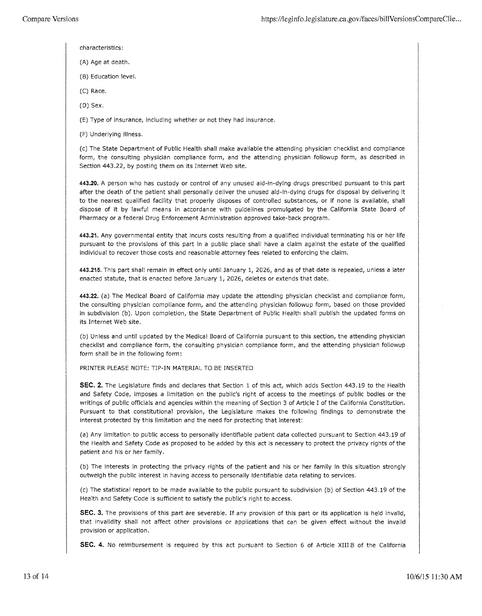- characteristics:
- (A) Age at death.
- (B) Education level.
- (C) Race.
- (D) Sex.

(E) Type of insurance, including whether or not they had insurance.

(F) Underlying illness.

(c) The State Department of Public Health shall make available the attending physician checklist and compliance form, the consulting physician compliance form, and the attending physician followup form, as described in Section 443.22, by posting them on its Internet Web site.

**443.20.** A person who has custody or control of any unused aid-in-dying drugs prescribed pursuant to this part after the death of the patient shall personally deliver the unused aid-in-dying drugs for disposal by delivering it to the nearest qualified facility that properly disposes of controlled substances, or if none is available, shall dispose of it by lawful means in accordance with guidelines promulgated by the California State Board of Pharmacy or a federal Drug Enforcement Administration approved take-back program.

**443.21.** Any governmental entity that incurs costs resulting from a qualified individual terminating his or her life pursuant to the provisions of this part in a public place shall have a claim against the estate of the qualified individual to recover those costs and reasonable attorney fees related to enforcing the claim.

**443.215.** This part shall remain in effect only until January 1, 2026, and as of that date is repealed, unless a later enacted statute, that is enacted before January 1, 2026, deletes or extends that date.

**443.22.** (a) The Medical Board of California may update the attending physician checklist and compliance form, the consulting physician compliance form, and the attending physician followup form, based on those provided in subdivision (b). Upon completion, the State Department of Public Health shall publish the updated forms on its Internet Web site.

(b) Unless and until updated by the Medical Board of California pursuant to this section, the attending physician checklist and compliance form, the consulting physician compliance form, and the attending physician followup form shall be in the following form:

## PRINTER PLEASE NOTE: TIP-IN MATERIAL TO BE INSERTED

**SEC. 2.** The Legislature finds and declares that Section 1 of this act, which adds Section 443.19 to the Health and Safety Code, imposes a limitation on the public's right of access to the meetings of public bodies or the writings of public officials and agencies within the meaning of Section 3 of Article I of the California Constitution. Pursuant to that constitutional provision, the Legislature makes the following findings to demonstrate the interest protected by this limitation and the need for protecting that interest:

(a) Any limitation to public access to personally identifiable patient data collected pursuant to Section 443.19 of the Health and Safety Code as proposed to be added by this act is necessary to protect the privacy rights of the patient and his or her family.

(b) The interests in protecting the privacy rights of the patient and his or her family in this situation strongly outweigh the public interest in having access to personally identifiable data relating to services.

(c) The statistical report to be made available to the public pursuant to subdivision (b) of Section 443.19 of the Health and Safety Code is sufficient to satisfy the public's right to access.

**SEC. 3.** The provisions of this part are severable. If any provision of this part or its application is held invalid, that invalidity shall not affect other provisions or applications that can be given effect without the invalid provision or application.

SEC. 4. No reimbursement is required by this act pursuant to Section 6 of Article XIII B of the California